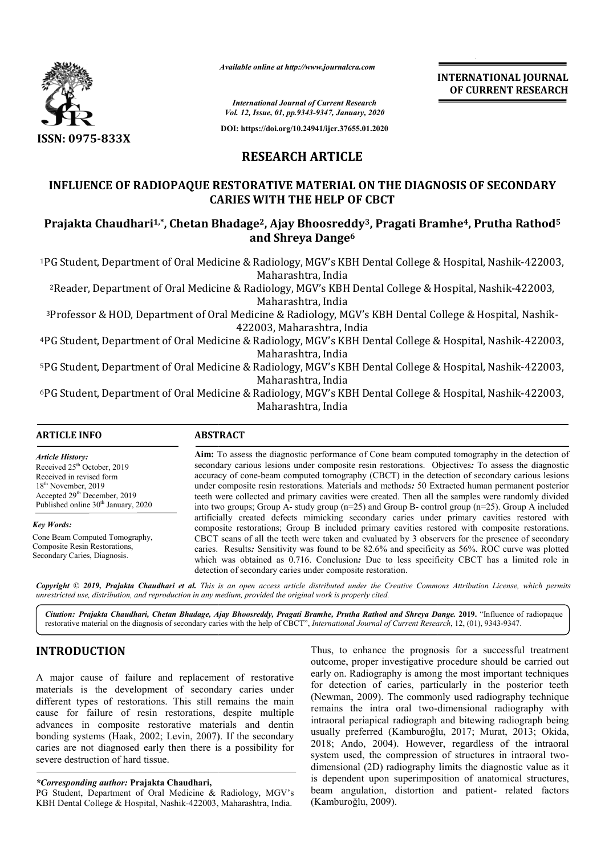

*Available online at http://www.journalcra.com*

**INTERNATIONAL JOURNAL OF CURRENT RESEARCH**

*International Journal of Current Research Vol. 12, Issue, 01, pp.9343-9347, January, 2020*

**DOI: https://doi.org/10.24941/ijcr.37655.01.2020**

### **RESEARCH ARTICLE**

## **INFLUENCE OF RADIOPAQUE RESTORATIVE MATERIAL ON THE DIAGNOSIS OF SECONDARY CARIES WITH THE HELP OF CBCT** INFLUENCE OF RADIOPAQUE RESTORATIVE MATERIAL ON THE DIAGNOSIS OF SECONDARY<br>CARIES WITH THE HELP OF CBCT<br>Prajakta Chaudhari<sup>1,\*</sup>, Chetan Bhadage<sup>2</sup>, Ajay Bhoosreddy<sup>3</sup>, Pragati Bramhe<sup>4</sup>, Prutha Rathod<sup>5</sup>

# **and Shreya Dange6**

1PG Student, Department of Oral Medicine & Radiology, MGV's KBH Dental College & Hospital, Nashik Dental Hospital, Nashik-422003, Maharashtra, India

<sup>2</sup>Reader, Department of Oral Medicine & Radiology, MGV's KBH Dental College & Hospital, Nashik-422003, Maharashtra, India

<sup>3</sup>Professor & HOD, Department of Oral Medicine & Radiology, MGV's KBH Dental College & Hospital, Nashik-422003, Maharashtra, India

4PG Student, Department of Oral Medicine & Radiology, MGV's KBH Dental College & Hospital, Nashik-422003, Maharashtra, India

<sup>5</sup>PG Student, Department of Oral Medicine & Radiology, MGV's KBH Dental College & Hospital, Nashik-422003, Maharashtra, India

<sup>6</sup>PG Student, Department of Oral Medicine & Radiology, MGV's KBH Dental College & Hospital, Nashik-422003, Maharashtra, India

**ARTICLE INFO ABSTRACT**

*Article History:* Received  $25<sup>th</sup>$  October, 2019 Received in revised form 18<sup>th</sup> November, 2019 Accepted 29<sup>th</sup> December, 2019 Published online 30<sup>th</sup> January, 2020

*Key Words:* Cone Beam Computed Tomography, Composite Resin Restorations, Secondary Caries, Diagnosis.

Aim: To assess the diagnostic performance of Cone beam computed tomography in the detection of secondary carious lesions under composite resin restorations. Objectives *:* To assess the diagnostic accuracy of cone-beam computed tomography (CBCT) in the detection of secondary carious lesions under composite resin restorations. Materials and methods*:* 50 Extracted human permanent posterior teeth were collected and primary cavities were created. Then all the samples were randomly divided into two groups; Group A- study group  $(n=25)$  and Group B- control group  $(n=25)$ . Group A included accuracy of cone-beam computed tomography (CBCT) in the detection of secondary carious lesions<br>under composite resin restorations. Materials and methods: 50 Extracted human permanent posterior<br>teeth were collected and prim composite restorations; Group B included primary cavities restored with composite restorations. CBCT scans of all the teeth were taken and evaluated by 3 observers for the presence of secondary caries. Results*:* Sensitivity was found to be 82.6% and specificity as 56%. ROC curve was plotted CBCT scans of all the teeth were taken and evaluated by 3 observers for the presence of secondary caries. Results: Sensitivity was found to be 82.6% and specificity as 56%. ROC curve was plotted which was obtained as 0.716 detection of secondary caries under composite restoration.

Copyright © 2019, Prajakta Chaudhari et al. This is an open access article distributed under the Creative Commons Attribution License, which permits *unrestricted use, distribution, and reproduction in any medium, provided the original work is properly cited.*

Citation: Prajakta Chaudhari, Chetan Bhadage, Ajay Bhoosreddy, Pragati Bramhe, Prutha Rathod and Shreya Dange. 2019. "Influence of radiopaque restorative material on the diagnosis of secondary caries with the help of CBCT", *International Journal of Current Research*, 12, (01), 9343-9347.

#### **INTRODUCTION**

A major cause of failure and replacement of restorative materials is the development of secondary caries under different types of restorations. This still remains the main cause for failure of resin restorations, despite multiple advances in composite restorative materials and dentin bonding systems (Haak, 2002; Levin, 2007). If the secondary caries are not diagnosed early then there is a possibility for severe destruction of hard tissue.

*\*Corresponding author:* **Prajakta Chaudhari,**

PG Student, Department of Oral Medicine & Radiology, MGV's KBH Dental College & Hospital, Nashik-422003, Maharashtra, India.

Thus, to enhance the prognosis for a successful treatment outcome, proper investigative procedure should be carried out Thus, to enhance the prognosis for a successful treatment outcome, proper investigative procedure should be carried out early on. Radiography is among the most important techniques for detection of caries, particularly in the posterior teeth (Newman, 2009). The commonly used radiography technique for detection of caries, particularly in the posterior teeth (Newman, 2009). The commonly used radiography technique remains the intra oral two-dimensional radiography with intraoral periapical radiograph and bitewing radiograph being usually preferred (Kamburoğlu, 2017; Murat, 2013; Okida, 2018; Ando, 2004). However, regardless of the intraoral 2018; Ando, 2004). However, regardless of the intraoral system used, the compression of structures in intraoral twodimensional (2D) radiography limits the diagnostic value as it dimensional (2D) radiography limits the diagnostic value as it<br>is dependent upon superimposition of anatomical structures, beam angulation, distortion and patient- related factors (Kamburoğlu, 2009).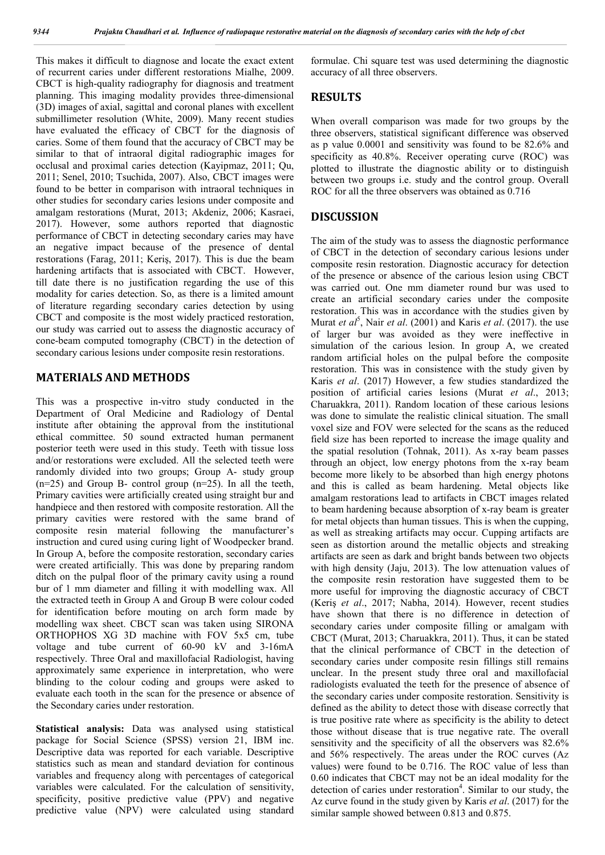This makes it difficult to diagnose and locate the exact extent of recurrent caries under different restorations Mialhe, 2009. CBCT is high-quality radiography for diagnosis and treatment planning. This imaging modality provides three-dimensional (3D) images of axial, sagittal and coronal planes with excellent submillimeter resolution (White, 2009). Many recent studies have evaluated the efficacy of CBCT for the diagnosis of caries. Some of them found that the accuracy of CBCT may be similar to that of intraoral digital radiographic images for occlusal and proximal caries detection (Kayipmaz, 2011; Qu, 2011; Senel, 2010; Tsuchida, 2007). Also, CBCT images were found to be better in comparison with intraoral techniques in other studies for secondary caries lesions under composite and amalgam restorations (Murat, 2013; Akdeniz, 2006; Kasraei, 2017). However, some authors reported that diagnostic performance of CBCT in detecting secondary caries may have an negative impact because of the presence of dental restorations (Farag, 2011; Keriş, 2017). This is due the beam hardening artifacts that is associated with CBCT. However, till date there is no justification regarding the use of this modality for caries detection. So, as there is a limited amount of literature regarding secondary caries detection by using CBCT and composite is the most widely practiced restoration, our study was carried out to assess the diagnostic accuracy of cone-beam computed tomography (CBCT) in the detection of secondary carious lesions under composite resin restorations.

#### **MATERIALS AND METHODS**

This was a prospective in-vitro study conducted in the Department of Oral Medicine and Radiology of Dental institute after obtaining the approval from the institutional ethical committee. 50 sound extracted human permanent posterior teeth were used in this study. Teeth with tissue loss and/or restorations were excluded. All the selected teeth were randomly divided into two groups; Group A- study group  $(n=25)$  and Group B- control group  $(n=25)$ . In all the teeth, Primary cavities were artificially created using straight bur and handpiece and then restored with composite restoration. All the primary cavities were restored with the same brand of composite resin material following the manufacturer's instruction and cured using curing light of Woodpecker brand. In Group A, before the composite restoration, secondary caries were created artificially. This was done by preparing random ditch on the pulpal floor of the primary cavity using a round bur of 1 mm diameter and filling it with modelling wax. All the extracted teeth in Group A and Group B were colour coded for identification before mouting on arch form made by modelling wax sheet. CBCT scan was taken using SIRONA ORTHOPHOS XG 3D machine with FOV 5x5 cm, tube voltage and tube current of 60-90 kV and 3-16mA respectively. Three Oral and maxillofacial Radiologist, having approximately same experience in interpretation, who were blinding to the colour coding and groups were asked to evaluate each tooth in the scan for the presence or absence of the Secondary caries under restoration.

**Statistical analysis:** Data was analysed using statistical package for Social Science (SPSS) version 21, IBM inc. Descriptive data was reported for each variable. Descriptive statistics such as mean and standard deviation for continous variables and frequency along with percentages of categorical variables were calculated. For the calculation of sensitivity, specificity, positive predictive value (PPV) and negative predictive value (NPV) were calculated using standard

formulae. Chi square test was used determining the diagnostic accuracy of all three observers.

#### **RESULTS**

When overall comparison was made for two groups by the three observers, statistical significant difference was observed as p value 0.0001 and sensitivity was found to be 82.6% and specificity as 40.8%. Receiver operating curve (ROC) was plotted to illustrate the diagnostic ability or to distinguish between two groups i.e. study and the control group. Overall ROC for all the three observers was obtained as 0.716

#### **DISCUSSION**

The aim of the study was to assess the diagnostic performance of CBCT in the detection of secondary carious lesions under composite resin restoration. Diagnostic accuracy for detection of the presence or absence of the carious lesion using CBCT was carried out. One mm diameter round bur was used to create an artificial secondary caries under the composite restoration. This was in accordance with the studies given by Murat *et al*<sup>5</sup>, Nair *et al.* (2001) and Karis *et al.* (2017). the use of larger bur was avoided as they were ineffective in simulation of the carious lesion. In group A, we created random artificial holes on the pulpal before the composite restoration. This was in consistence with the study given by Karis *et al*. (2017) However, a few studies standardized the position of artificial caries lesions (Murat *et al*., 2013; Charuakkra, 2011). Random location of these carious lesions was done to simulate the realistic clinical situation. The small voxel size and FOV were selected for the scans as the reduced field size has been reported to increase the image quality and the spatial resolution (Tohnak, 2011). As x-ray beam passes through an object, low energy photons from the x-ray beam become more likely to be absorbed than high energy photons and this is called as beam hardening. Metal objects like amalgam restorations lead to artifacts in CBCT images related to beam hardening because absorption of x-ray beam is greater for metal objects than human tissues. This is when the cupping, as well as streaking artifacts may occur. Cupping artifacts are seen as distortion around the metallic objects and streaking artifacts are seen as dark and bright bands between two objects with high density (Jaju, 2013). The low attenuation values of the composite resin restoration have suggested them to be more useful for improving the diagnostic accuracy of CBCT (Keriş *et al*., 2017; Nabha, 2014). However, recent studies have shown that there is no difference in detection of secondary caries under composite filling or amalgam with CBCT (Murat, 2013; Charuakkra, 2011). Thus, it can be stated that the clinical performance of CBCT in the detection of secondary caries under composite resin fillings still remains unclear. In the present study three oral and maxillofacial radiologists evaluated the teeth for the presence of absence of the secondary caries under composite restoration. Sensitivity is defined as the ability to detect those with disease correctly that is true positive rate where as specificity is the ability to detect those without disease that is true negative rate. The overall sensitivity and the specificity of all the observers was 82.6% and 56% respectively. The areas under the ROC curves (Az values) were found to be 0.716. The ROC value of less than 0.60 indicates that CBCT may not be an ideal modality for the detection of caries under restoration<sup>4</sup>. Similar to our study, the Az curve found in the study given by Karis *et al*. (2017) for the similar sample showed between 0.813 and 0.875.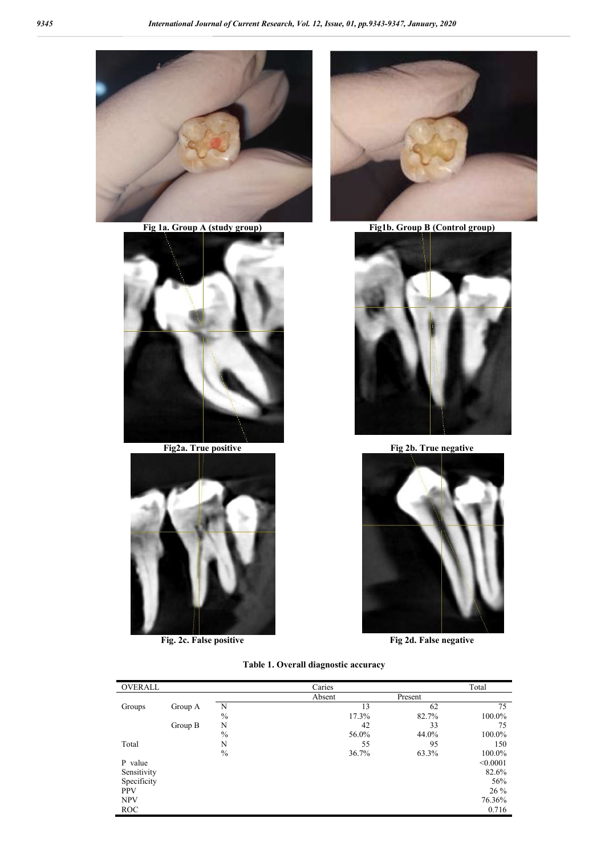

**Fig 1a. Group A (study group) Fig1b. Group B (Control group)**





**Fig. 2c. False positive Fig 2d. False negative**





**Fig2a. True positive Fig2b. True negative** 



#### **Table 1. Overall diagnostic accuracy**

| OVERALL     |         |               | Caries |         | Total    |
|-------------|---------|---------------|--------|---------|----------|
|             |         |               | Absent | Present |          |
| Groups      | Group A | N             | 13     | 62      | 75       |
|             |         | $\frac{0}{0}$ | 17.3%  | 82.7%   | 100.0%   |
|             | Group B | N             | 42     | 33      | 75       |
|             |         | $\%$          | 56.0%  | 44.0%   | 100.0%   |
| Total       |         | N             | 55     | 95      | 150      |
|             |         | $\frac{0}{0}$ | 36.7%  | 63.3%   | 100.0%   |
| P value     |         |               |        |         | < 0.0001 |
| Sensitivity |         |               |        |         | 82.6%    |
| Specificity |         |               |        |         | 56%      |
| <b>PPV</b>  |         |               |        |         | 26 %     |
| <b>NPV</b>  |         |               |        |         | 76.36%   |
| ROC         |         |               |        |         | 0.716    |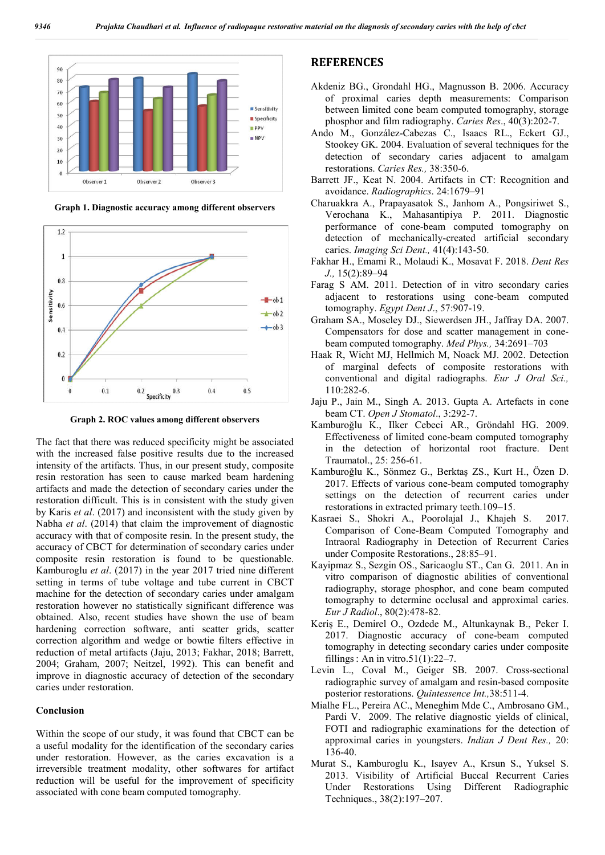

**Graph 1. Diagnostic accuracy among different observers**



**Graph 2. ROC values among different observers**

The fact that there was reduced specificity might be associated with the increased false positive results due to the increased intensity of the artifacts. Thus, in our present study, composite resin restoration has seen to cause marked beam hardening artifacts and made the detection of secondary caries under the restoration difficult. This is in consistent with the study given by Karis *et al*. (2017) and inconsistent with the study given by Nabha *et al*. (2014) that claim the improvement of diagnostic accuracy with that of composite resin. In the present study, the accuracy of CBCT for determination of secondary caries under composite resin restoration is found to be questionable. Kamburoglu *et al*. (2017) in the year 2017 tried nine different setting in terms of tube voltage and tube current in CBCT machine for the detection of secondary caries under amalgam restoration however no statistically significant difference was obtained. Also, recent studies have shown the use of beam hardening correction software, anti scatter grids, scatter correction algorithm and wedge or bowtie filters effective in reduction of metal artifacts (Jaju, 2013; Fakhar, 2018; Barrett, 2004; Graham, 2007; Neitzel, 1992). This can benefit and improve in diagnostic accuracy of detection of the secondary caries under restoration.

#### **Conclusion**

Within the scope of our study, it was found that CBCT can be a useful modality for the identification of the secondary caries under restoration. However, as the caries excavation is a irreversible treatment modality, other softwares for artifact reduction will be useful for the improvement of specificity associated with cone beam computed tomography.

#### **REFERENCES**

- Akdeniz BG., Grondahl HG., Magnusson B. 2006. Accuracy of proximal caries depth measurements: Comparison between limited cone beam computed tomography, storage phosphor and film radiography. *Caries Res*., 40(3):202-7.
- Ando M., González-Cabezas C., Isaacs RL., Eckert GJ., Stookey GK. 2004. Evaluation of several techniques for the detection of secondary caries adjacent to amalgam restorations. *Caries Res.,* 38:350-6.
- Barrett JF., Keat N. 2004. Artifacts in CT: Recognition and avoidance. *Radiographics*. 24:1679–91
- Charuakkra A., Prapayasatok S., Janhom A., Pongsiriwet S., Verochana K., Mahasantipiya P. 2011. Diagnostic performance of cone-beam computed tomography on detection of mechanically-created artificial secondary caries. *Imaging Sci Dent.,* 41(4):143-50.
- Fakhar H., Emami R., Molaudi K., Mosavat F. 2018. *Dent Res J.,* 15(2):89–94
- Farag S AM. 2011. Detection of in vitro secondary caries adjacent to restorations using cone-beam computed tomography. *Egypt Dent J*., 57:907-19.
- Graham SA., Moseley DJ., Siewerdsen JH., Jaffray DA. 2007. Compensators for dose and scatter management in conebeam computed tomography. *Med Phys.,* 34:2691–703
- Haak R, Wicht MJ, Hellmich M, Noack MJ. 2002. Detection of marginal defects of composite restorations with conventional and digital radiographs. *Eur J Oral Sci.,* 110:282-6.
- Jaju P., Jain M., Singh A. 2013. Gupta A. Artefacts in cone beam CT. *Open J Stomatol*., 3:292-7.
- Kamburoğlu K., Ilker Cebeci AR., Gröndahl HG. 2009. Effectiveness of limited cone-beam computed tomography in the detection of horizontal root fracture. Dent Traumatol., 25: 256-61.
- Kamburoğlu K., Sönmez G., Berktaş ZS., Kurt H., Özen D. 2017. Effects of various cone-beam computed tomography settings on the detection of recurrent caries under restorations in extracted primary teeth.109–15.
- Kasraei S., Shokri A., Poorolajal J., Khajeh S. 2017. Comparison of Cone-Beam Computed Tomography and Intraoral Radiography in Detection of Recurrent Caries under Composite Restorations., 28:85–91.
- Kayipmaz S., Sezgin OS., Saricaoglu ST., Can G. 2011. An in vitro comparison of diagnostic abilities of conventional radiography, storage phosphor, and cone beam computed tomography to determine occlusal and approximal caries. *Eur J Radiol*., 80(2):478-82.
- Keriş E., Demirel O., Ozdede M., Altunkaynak B., Peker I. 2017. Diagnostic accuracy of cone-beam computed tomography in detecting secondary caries under composite fillings : An in vitro.51(1):22–7.
- Levin L., Coval M., Geiger SB. 2007. Cross-sectional radiographic survey of amalgam and resin-based composite posterior restorations. *Quintessence Int.,*38:511-4.
- Mialhe FL., Pereira AC., Meneghim Mde C., Ambrosano GM., Pardi V. 2009. The relative diagnostic yields of clinical, FOTI and radiographic examinations for the detection of approximal caries in youngsters. *Indian J Dent Res.,* 20: 136-40.
- Murat S., Kamburoglu K., Isayev A., Krsun S., Yuksel S. 2013. Visibility of Artificial Buccal Recurrent Caries Under Restorations Using Different Radiographic Techniques., 38(2):197–207.